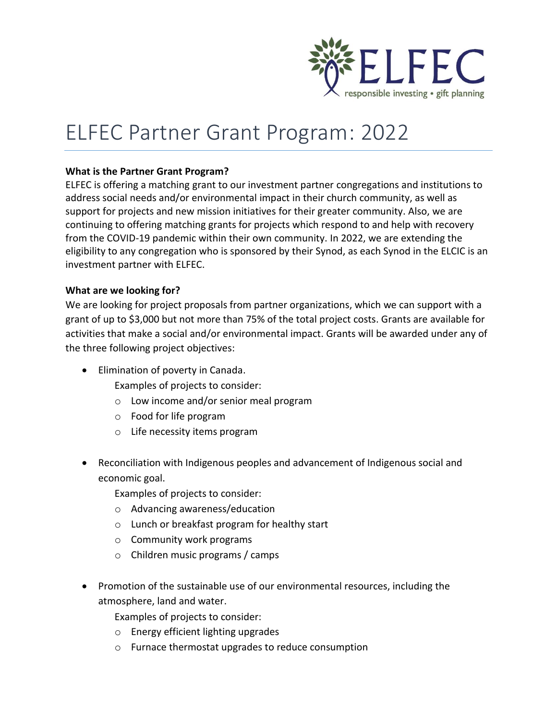

## ELFEC Partner Grant Program: 2022

## **What is the Partner Grant Program?**

ELFEC is offering a matching grant to our investment partner congregations and institutions to address social needs and/or environmental impact in their church community, as well as support for projects and new mission initiatives for their greater community. Also, we are continuing to offering matching grants for projects which respond to and help with recovery from the COVID-19 pandemic within their own community. In 2022, we are extending the eligibility to any congregation who is sponsored by their Synod, as each Synod in the ELCIC is an investment partner with ELFEC.

## **What are we looking for?**

We are looking for project proposals from partner organizations, which we can support with a grant of up to \$3,000 but not more than 75% of the total project costs. Grants are available for activities that make a social and/or environmental impact. Grants will be awarded under any of the three following project objectives:

- Elimination of poverty in Canada.
	- Examples of projects to consider:
	- o Low income and/or senior meal program
	- o Food for life program
	- o Life necessity items program
- Reconciliation with Indigenous peoples and advancement of Indigenous social and economic goal.
	- Examples of projects to consider:
	- o Advancing awareness/education
	- o Lunch or breakfast program for healthy start
	- o Community work programs
	- o Children music programs / camps
- Promotion of the sustainable use of our environmental resources, including the atmosphere, land and water.

Examples of projects to consider:

- o Energy efficient lighting upgrades
- o Furnace thermostat upgrades to reduce consumption